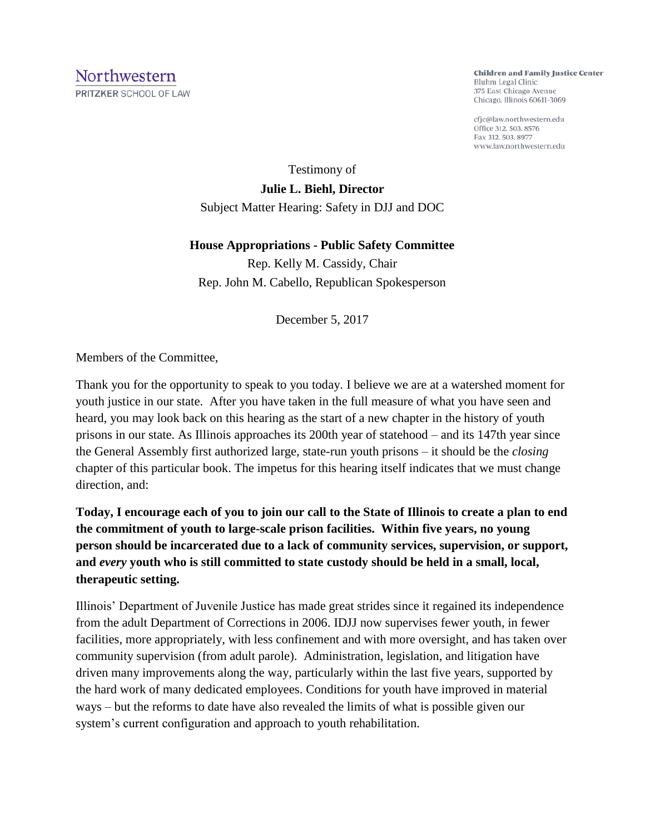**Children and Family Justice Center** Bluhm Legal Clinic 375 East Chicago Avenue Chicago, Illinois 60611-3069

cfjc@law.northwestern.edu Office 312. 503. 8576 Fax 312, 503, 8977 www.law.northwestern.edu

Testimony of **Julie L. Biehl, Director** Subject Matter Hearing: Safety in DJJ and DOC

**House Appropriations - Public Safety Committee**

Rep. Kelly M. Cassidy, Chair Rep. John M. Cabello, Republican Spokesperson

December 5, 2017

Members of the Committee,

Thank you for the opportunity to speak to you today. I believe we are at a watershed moment for youth justice in our state. After you have taken in the full measure of what you have seen and heard, you may look back on this hearing as the start of a new chapter in the history of youth prisons in our state. As Illinois approaches its 200th year of statehood – and its 147th year since the General Assembly first authorized large, state-run youth prisons – it should be the *closing* chapter of this particular book. The impetus for this hearing itself indicates that we must change direction, and:

**Today, I encourage each of you to join our call to the State of Illinois to create a plan to end the commitment of youth to large-scale prison facilities. Within five years, no young person should be incarcerated due to a lack of community services, supervision, or support, and** *every* **youth who is still committed to state custody should be held in a small, local, therapeutic setting.** 

Illinois' Department of Juvenile Justice has made great strides since it regained its independence from the adult Department of Corrections in 2006. IDJJ now supervises fewer youth, in fewer facilities, more appropriately, with less confinement and with more oversight, and has taken over community supervision (from adult parole). Administration, legislation, and litigation have driven many improvements along the way, particularly within the last five years, supported by the hard work of many dedicated employees. Conditions for youth have improved in material ways – but the reforms to date have also revealed the limits of what is possible given our system's current configuration and approach to youth rehabilitation.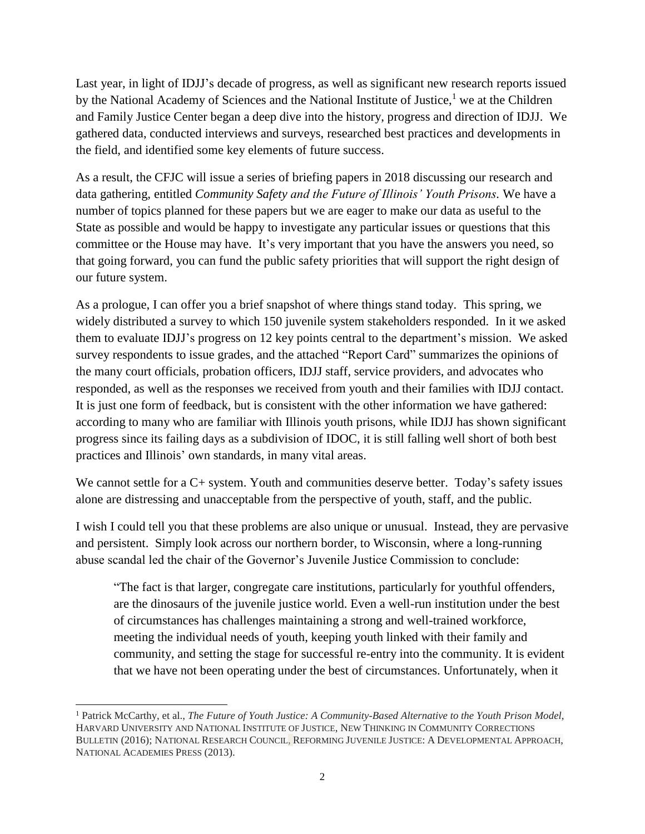Last year, in light of IDJJ's decade of progress, as well as significant new research reports issued by the National Academy of Sciences and the National Institute of Justice, $<sup>1</sup>$  we at the Children</sup> and Family Justice Center began a deep dive into the history, progress and direction of IDJJ. We gathered data, conducted interviews and surveys, researched best practices and developments in the field, and identified some key elements of future success.

As a result, the CFJC will issue a series of briefing papers in 2018 discussing our research and data gathering, entitled *Community Safety and the Future of Illinois' Youth Prisons.* We have a number of topics planned for these papers but we are eager to make our data as useful to the State as possible and would be happy to investigate any particular issues or questions that this committee or the House may have. It's very important that you have the answers you need, so that going forward, you can fund the public safety priorities that will support the right design of our future system.

As a prologue, I can offer you a brief snapshot of where things stand today. This spring, we widely distributed a survey to which 150 juvenile system stakeholders responded. In it we asked them to evaluate IDJJ's progress on 12 key points central to the department's mission. We asked survey respondents to issue grades, and the attached "Report Card" summarizes the opinions of the many court officials, probation officers, IDJJ staff, service providers, and advocates who responded, as well as the responses we received from youth and their families with IDJJ contact. It is just one form of feedback, but is consistent with the other information we have gathered: according to many who are familiar with Illinois youth prisons, while IDJJ has shown significant progress since its failing days as a subdivision of IDOC, it is still falling well short of both best practices and Illinois' own standards, in many vital areas.

We cannot settle for a  $C$  + system. Youth and communities deserve better. Today's safety issues alone are distressing and unacceptable from the perspective of youth, staff, and the public.

I wish I could tell you that these problems are also unique or unusual. Instead, they are pervasive and persistent. Simply look across our northern border, to Wisconsin, where a long-running abuse scandal led the chair of the Governor's Juvenile Justice Commission to conclude:

"The fact is that larger, congregate care institutions, particularly for youthful offenders, are the dinosaurs of the juvenile justice world. Even a well-run institution under the best of circumstances has challenges maintaining a strong and well-trained workforce, meeting the individual needs of youth, keeping youth linked with their family and community, and setting the stage for successful re-entry into the community. It is evident that we have not been operating under the best of circumstances. Unfortunately, when it

<sup>1</sup> Patrick McCarthy, et al., *The Future of Youth Justice: A Community-Based Alternative to the Youth Prison Model*, HARVARD UNIVERSITY AND NATIONAL INSTITUTE OF JUSTICE, NEW THINKING IN COMMUNITY CORRECTIONS BULLETIN (2016); NATIONAL RESEARCH COUNCIL, REFORMING JUVENILE JUSTICE: A DEVELOPMENTAL APPROACH, NATIONAL ACADEMIES PRESS (2013).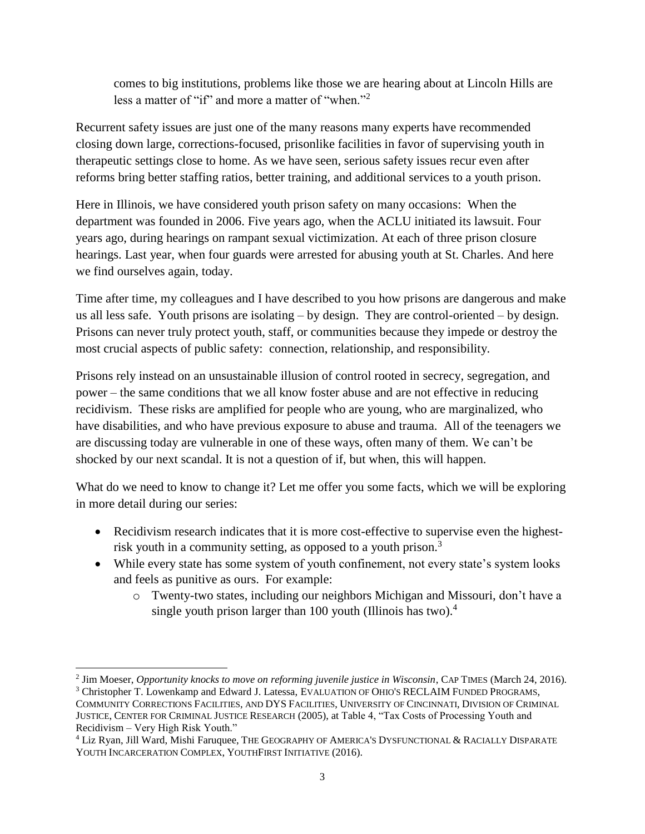comes to big institutions, problems like those we are hearing about at Lincoln Hills are less a matter of "if" and more a matter of "when."<sup>2</sup>

Recurrent safety issues are just one of the many reasons many experts have recommended closing down large, corrections-focused, prisonlike facilities in favor of supervising youth in therapeutic settings close to home. As we have seen, serious safety issues recur even after reforms bring better staffing ratios, better training, and additional services to a youth prison.

Here in Illinois, we have considered youth prison safety on many occasions: When the department was founded in 2006. Five years ago, when the ACLU initiated its lawsuit. Four years ago, during hearings on rampant sexual victimization. At each of three prison closure hearings. Last year, when four guards were arrested for abusing youth at St. Charles. And here we find ourselves again, today.

Time after time, my colleagues and I have described to you how prisons are dangerous and make us all less safe. Youth prisons are isolating – by design. They are control-oriented – by design. Prisons can never truly protect youth, staff, or communities because they impede or destroy the most crucial aspects of public safety: connection, relationship, and responsibility.

Prisons rely instead on an unsustainable illusion of control rooted in secrecy, segregation, and power – the same conditions that we all know foster abuse and are not effective in reducing recidivism. These risks are amplified for people who are young, who are marginalized, who have disabilities, and who have previous exposure to abuse and trauma. All of the teenagers we are discussing today are vulnerable in one of these ways, often many of them. We can't be shocked by our next scandal. It is not a question of if, but when, this will happen.

What do we need to know to change it? Let me offer you some facts, which we will be exploring in more detail during our series:

- Recidivism research indicates that it is more cost-effective to supervise even the highestrisk youth in a community setting, as opposed to a youth prison.<sup>3</sup>
- While every state has some system of youth confinement, not every state's system looks and feels as punitive as ours. For example:
	- o Twenty-two states, including our neighbors Michigan and Missouri, don't have a single youth prison larger than 100 youth (Illinois has two).<sup>4</sup>

 2 Jim Moeser, *Opportunity knocks to move on reforming juvenile justice in Wisconsin*, CAP TIMES (March 24, 2016).

<sup>3</sup> Christopher T. Lowenkamp and Edward J. Latessa, EVALUATION OF OHIO'S RECLAIM FUNDED PROGRAMS, COMMUNITY CORRECTIONS FACILITIES, AND DYS FACILITIES, UNIVERSITY OF CINCINNATI, DIVISION OF CRIMINAL JUSTICE, CENTER FOR CRIMINAL JUSTICE RESEARCH (2005), at Table 4, "Tax Costs of Processing Youth and Recidivism – Very High Risk Youth."

<sup>4</sup> Liz Ryan, Jill Ward, Mishi Faruquee, THE GEOGRAPHY OF AMERICA'S DYSFUNCTIONAL & RACIALLY DISPARATE YOUTH INCARCERATION COMPLEX, YOUTHFIRST INITIATIVE (2016).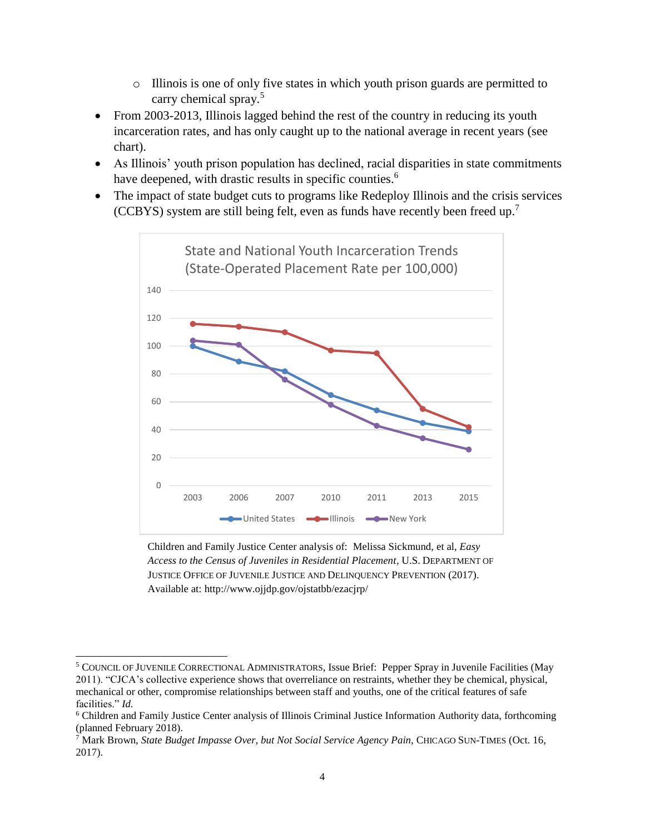- o Illinois is one of only five states in which youth prison guards are permitted to carry chemical spray.<sup>5</sup>
- From 2003-2013, Illinois lagged behind the rest of the country in reducing its youth incarceration rates, and has only caught up to the national average in recent years (see chart).
- As Illinois' youth prison population has declined, racial disparities in state commitments have deepened, with drastic results in specific counties.<sup>6</sup>
- The impact of state budget cuts to programs like Redeploy Illinois and the crisis services (CCBYS) system are still being felt, even as funds have recently been freed up.<sup>7</sup>



Children and Family Justice Center analysis of: Melissa Sickmund, et al, *Easy Access to the Census of Juveniles in Residential Placement*, U.S. DEPARTMENT OF JUSTICE OFFICE OF JUVENILE JUSTICE AND DELINQUENCY PREVENTION (2017). Available at: http://www.ojjdp.gov/ojstatbb/ezacjrp/

<sup>5</sup> COUNCIL OF JUVENILE CORRECTIONAL ADMINISTRATORS, Issue Brief: Pepper Spray in Juvenile Facilities (May 2011). "CJCA's collective experience shows that overreliance on restraints, whether they be chemical, physical, mechanical or other, compromise relationships between staff and youths, one of the critical features of safe facilities." *Id.*

<sup>6</sup> Children and Family Justice Center analysis of Illinois Criminal Justice Information Authority data, forthcoming (planned February 2018).

<sup>7</sup> Mark Brown, *State Budget Impasse Over, but Not Social Service Agency Pain*, CHICAGO SUN-TIMES (Oct. 16, 2017).